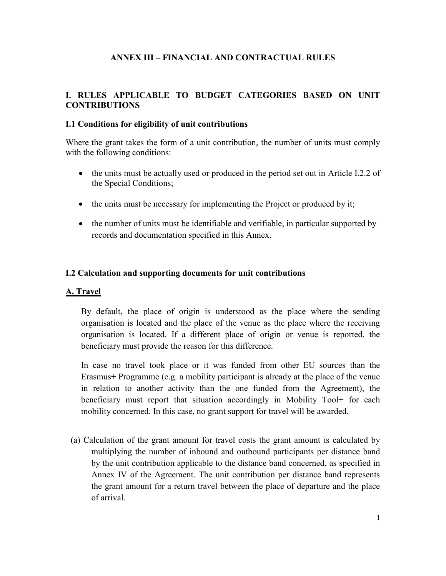### **ANNEX III – FINANCIAL AND CONTRACTUAL RULES**

### **I. RULES APPLICABLE TO BUDGET CATEGORIES BASED ON UNIT CONTRIBUTIONS**

#### **I.1 Conditions for eligibility of unit contributions**

Where the grant takes the form of a unit contribution, the number of units must comply with the following conditions:

- the units must be actually used or produced in the period set out in Article I.2.2 of the Special Conditions;
- the units must be necessary for implementing the Project or produced by it;
- the number of units must be identifiable and verifiable, in particular supported by records and documentation specified in this Annex.

#### **I.2 Calculation and supporting documents for unit contributions**

#### **A. Travel**

By default, the place of origin is understood as the place where the sending organisation is located and the place of the venue as the place where the receiving organisation is located. If a different place of origin or venue is reported, the beneficiary must provide the reason for this difference.

In case no travel took place or it was funded from other EU sources than the Erasmus+ Programme (e.g. a mobility participant is already at the place of the venue in relation to another activity than the one funded from the Agreement), the beneficiary must report that situation accordingly in Mobility Tool+ for each mobility concerned. In this case, no grant support for travel will be awarded.

(a) Calculation of the grant amount for travel costs the grant amount is calculated by multiplying the number of inbound and outbound participants per distance band by the unit contribution applicable to the distance band concerned, as specified in Annex IV of the Agreement. The unit contribution per distance band represents the grant amount for a return travel between the place of departure and the place of arrival.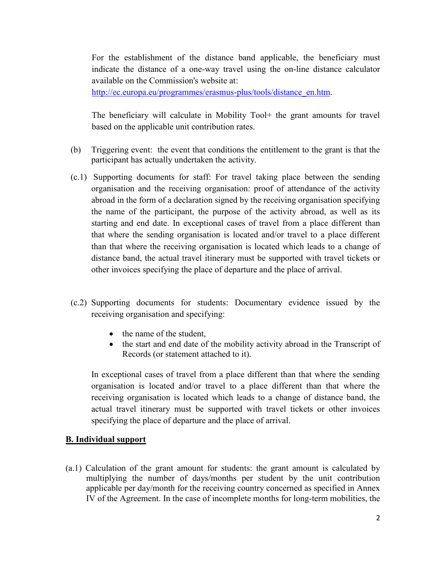For the establishment of the distance band applicable, the beneficiary must indicate the distance of a one-way travel using the on-line distance calculator available on the Commission's website at:

[http://ec.europa.eu/programmes/erasmus-plus/tools/distance\\_en.htm.](http://ec.europa.eu/programmes/erasmus-plus/tools/distance_en.htm)

The beneficiary will calculate in Mobility Tool+ the grant amounts for travel based on the applicable unit contribution rates.

- (b) Triggering event: the event that conditions the entitlement to the grant is that the participant has actually undertaken the activity.
- (c.1) Supporting documents for staff: For travel taking place between the sending organisation and the receiving organisation: proof of attendance of the activity abroad in the form of a declaration signed by the receiving organisation specifying the name of the participant, the purpose of the activity abroad, as well as its starting and end date. In exceptional cases of travel from a place different than that where the sending organisation is located and/or travel to a place different than that where the receiving organisation is located which leads to a change of distance band, the actual travel itinerary must be supported with travel tickets or other invoices specifying the place of departure and the place of arrival.
- (c.2) Supporting documents for students: Documentary evidence issued by the receiving organisation and specifying:
	- the name of the student,
	- the start and end date of the mobility activity abroad in the Transcript of Records (or statement attached to it).

In exceptional cases of travel from a place different than that where the sending organisation is located and/or travel to a place different than that where the receiving organisation is located which leads to a change of distance band, the actual travel itinerary must be supported with travel tickets or other invoices specifying the place of departure and the place of arrival.

### **B. Individual support**

(a.1) Calculation of the grant amount for students: the grant amount is calculated by multiplying the number of days/months per student by the unit contribution applicable per day/month for the receiving country concerned as specified in Annex IV of the Agreement. In the case of incomplete months for long-term mobilities, the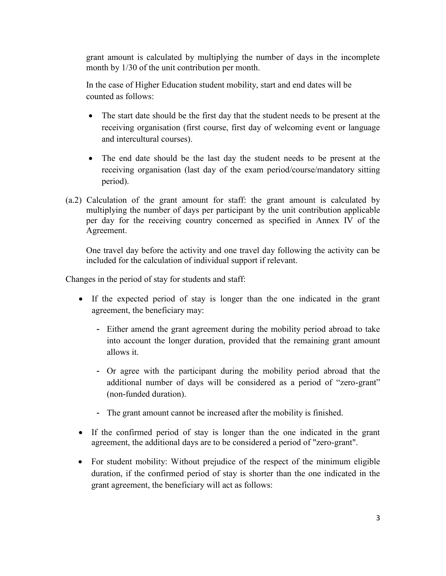grant amount is calculated by multiplying the number of days in the incomplete month by 1/30 of the unit contribution per month.

In the case of Higher Education student mobility, start and end dates will be counted as follows:

- The start date should be the first day that the student needs to be present at the receiving organisation (first course, first day of welcoming event or language and intercultural courses).
- The end date should be the last day the student needs to be present at the receiving organisation (last day of the exam period/course/mandatory sitting period).
- (a.2) Calculation of the grant amount for staff: the grant amount is calculated by multiplying the number of days per participant by the unit contribution applicable per day for the receiving country concerned as specified in Annex IV of the Agreement.

One travel day before the activity and one travel day following the activity can be included for the calculation of individual support if relevant.

Changes in the period of stay for students and staff:

- If the expected period of stay is longer than the one indicated in the grant agreement, the beneficiary may:
	- Either amend the grant agreement during the mobility period abroad to take into account the longer duration, provided that the remaining grant amount allows it.
	- Or agree with the participant during the mobility period abroad that the additional number of days will be considered as a period of "zero-grant" (non-funded duration).
	- The grant amount cannot be increased after the mobility is finished.
- If the confirmed period of stay is longer than the one indicated in the grant agreement, the additional days are to be considered a period of "zero-grant".
- For student mobility: Without prejudice of the respect of the minimum eligible duration, if the confirmed period of stay is shorter than the one indicated in the grant agreement, the beneficiary will act as follows: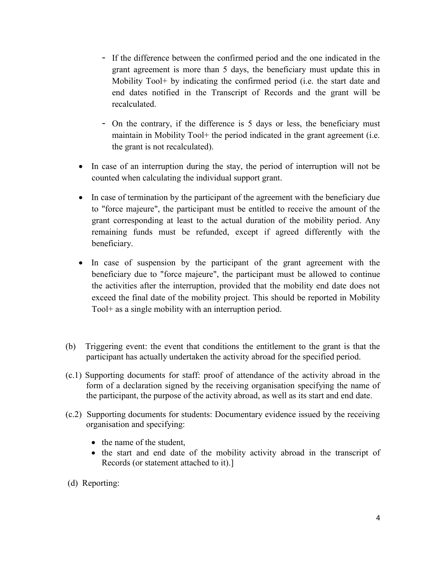- If the difference between the confirmed period and the one indicated in the grant agreement is more than 5 days, the beneficiary must update this in Mobility Tool+ by indicating the confirmed period (i.e. the start date and end dates notified in the Transcript of Records and the grant will be recalculated.
- On the contrary, if the difference is 5 days or less, the beneficiary must maintain in Mobility Tool + the period indicated in the grant agreement (i.e. the grant is not recalculated).
- In case of an interruption during the stay, the period of interruption will not be counted when calculating the individual support grant.
- In case of termination by the participant of the agreement with the beneficiary due to "force majeure", the participant must be entitled to receive the amount of the grant corresponding at least to the actual duration of the mobility period. Any remaining funds must be refunded, except if agreed differently with the beneficiary.
- In case of suspension by the participant of the grant agreement with the beneficiary due to "force majeure", the participant must be allowed to continue the activities after the interruption, provided that the mobility end date does not exceed the final date of the mobility project. This should be reported in Mobility Tool+ as a single mobility with an interruption period.
- (b) Triggering event: the event that conditions the entitlement to the grant is that the participant has actually undertaken the activity abroad for the specified period.
- (c.1) Supporting documents for staff: proof of attendance of the activity abroad in the form of a declaration signed by the receiving organisation specifying the name of the participant, the purpose of the activity abroad, as well as its start and end date.
- (c.2) Supporting documents for students: Documentary evidence issued by the receiving organisation and specifying:
	- the name of the student,
	- the start and end date of the mobility activity abroad in the transcript of Records (or statement attached to it).]
- (d) Reporting: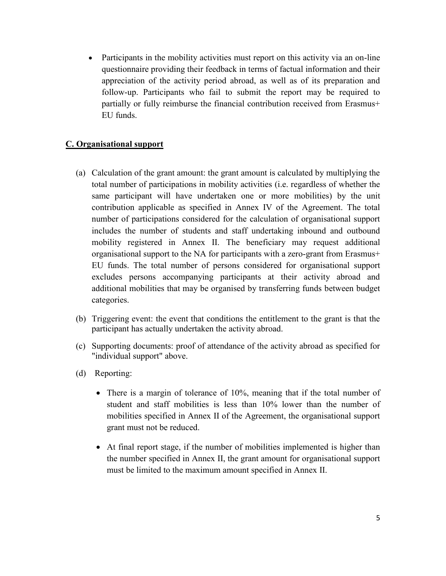Participants in the mobility activities must report on this activity via an on-line questionnaire providing their feedback in terms of factual information and their appreciation of the activity period abroad, as well as of its preparation and follow-up. Participants who fail to submit the report may be required to partially or fully reimburse the financial contribution received from Erasmus+ EU funds.

## **C. Organisational support**

- (a) Calculation of the grant amount: the grant amount is calculated by multiplying the total number of participations in mobility activities (i.e. regardless of whether the same participant will have undertaken one or more mobilities) by the unit contribution applicable as specified in Annex IV of the Agreement. The total number of participations considered for the calculation of organisational support includes the number of students and staff undertaking inbound and outbound mobility registered in Annex II. The beneficiary may request additional organisational support to the NA for participants with a zero-grant from Erasmus+ EU funds. The total number of persons considered for organisational support excludes persons accompanying participants at their activity abroad and additional mobilities that may be organised by transferring funds between budget categories.
- (b) Triggering event: the event that conditions the entitlement to the grant is that the participant has actually undertaken the activity abroad.
- (c) Supporting documents: proof of attendance of the activity abroad as specified for "individual support" above.
- (d) Reporting:
	- There is a margin of tolerance of 10%, meaning that if the total number of student and staff mobilities is less than 10% lower than the number of mobilities specified in Annex II of the Agreement, the organisational support grant must not be reduced.
	- At final report stage, if the number of mobilities implemented is higher than the number specified in Annex II, the grant amount for organisational support must be limited to the maximum amount specified in Annex II.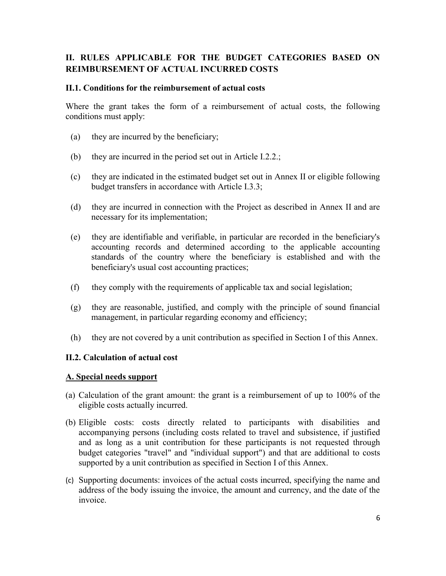## **II. RULES APPLICABLE FOR THE BUDGET CATEGORIES BASED ON REIMBURSEMENT OF ACTUAL INCURRED COSTS**

#### **II.1. Conditions for the reimbursement of actual costs**

Where the grant takes the form of a reimbursement of actual costs, the following conditions must apply:

- (a) they are incurred by the beneficiary;
- (b) they are incurred in the period set out in Article I.2.2.;
- (c) they are indicated in the estimated budget set out in Annex II or eligible following budget transfers in accordance with Article I.3.3;
- (d) they are incurred in connection with the Project as described in Annex II and are necessary for its implementation;
- (e) they are identifiable and verifiable, in particular are recorded in the beneficiary's accounting records and determined according to the applicable accounting standards of the country where the beneficiary is established and with the beneficiary's usual cost accounting practices;
- (f) they comply with the requirements of applicable tax and social legislation;
- (g) they are reasonable, justified, and comply with the principle of sound financial management, in particular regarding economy and efficiency;
- (h) they are not covered by a unit contribution as specified in Section I of this Annex.

#### **II.2. Calculation of actual cost**

#### **A. Special needs support**

- (a) Calculation of the grant amount: the grant is a reimbursement of up to 100% of the eligible costs actually incurred.
- (b) Eligible costs: costs directly related to participants with disabilities and accompanying persons (including costs related to travel and subsistence, if justified and as long as a unit contribution for these participants is not requested through budget categories "travel" and "individual support") and that are additional to costs supported by a unit contribution as specified in Section I of this Annex.
- (c) Supporting documents: invoices of the actual costs incurred, specifying the name and address of the body issuing the invoice, the amount and currency, and the date of the invoice.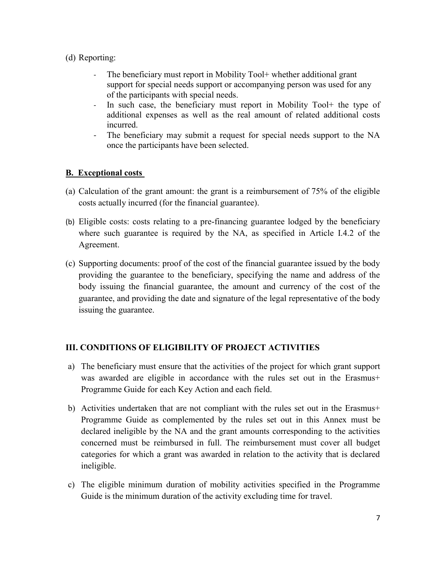## (d) Reporting:

- The beneficiary must report in Mobility Tool + whether additional grant support for special needs support or accompanying person was used for any of the participants with special needs.
- In such case, the beneficiary must report in Mobility Tool+ the type of additional expenses as well as the real amount of related additional costs incurred.
- The beneficiary may submit a request for special needs support to the NA once the participants have been selected.

## **B. Exceptional costs**

- (a) Calculation of the grant amount: the grant is a reimbursement of 75% of the eligible costs actually incurred (for the financial guarantee).
- (b) Eligible costs: costs relating to a pre-financing guarantee lodged by the beneficiary where such guarantee is required by the NA, as specified in Article I.4.2 of the Agreement.
- (c) Supporting documents: proof of the cost of the financial guarantee issued by the body providing the guarantee to the beneficiary, specifying the name and address of the body issuing the financial guarantee, the amount and currency of the cost of the guarantee, and providing the date and signature of the legal representative of the body issuing the guarantee.

## **III. CONDITIONS OF ELIGIBILITY OF PROJECT ACTIVITIES**

- a) The beneficiary must ensure that the activities of the project for which grant support was awarded are eligible in accordance with the rules set out in the Erasmus+ Programme Guide for each Key Action and each field.
- b) Activities undertaken that are not compliant with the rules set out in the Erasmus+ Programme Guide as complemented by the rules set out in this Annex must be declared ineligible by the NA and the grant amounts corresponding to the activities concerned must be reimbursed in full. The reimbursement must cover all budget categories for which a grant was awarded in relation to the activity that is declared ineligible.
- c) The eligible minimum duration of mobility activities specified in the Programme Guide is the minimum duration of the activity excluding time for travel.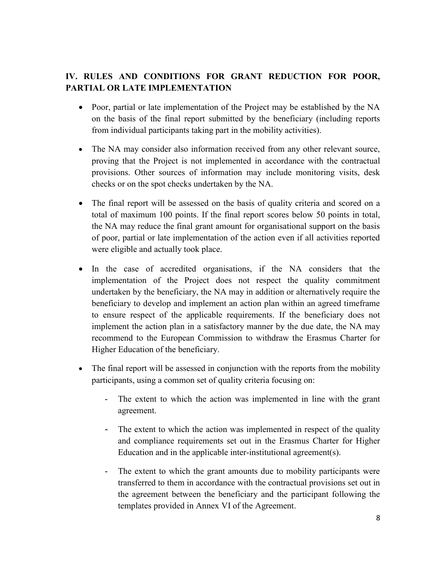# **IV. RULES AND CONDITIONS FOR GRANT REDUCTION FOR POOR, PARTIAL OR LATE IMPLEMENTATION**

- Poor, partial or late implementation of the Project may be established by the NA on the basis of the final report submitted by the beneficiary (including reports from individual participants taking part in the mobility activities).
- The NA may consider also information received from any other relevant source, proving that the Project is not implemented in accordance with the contractual provisions. Other sources of information may include monitoring visits, desk checks or on the spot checks undertaken by the NA.
- The final report will be assessed on the basis of quality criteria and scored on a total of maximum 100 points. If the final report scores below 50 points in total, the NA may reduce the final grant amount for organisational support on the basis of poor, partial or late implementation of the action even if all activities reported were eligible and actually took place.
- In the case of accredited organisations, if the NA considers that the implementation of the Project does not respect the quality commitment undertaken by the beneficiary, the NA may in addition or alternatively require the beneficiary to develop and implement an action plan within an agreed timeframe to ensure respect of the applicable requirements. If the beneficiary does not implement the action plan in a satisfactory manner by the due date, the NA may recommend to the European Commission to withdraw the Erasmus Charter for Higher Education of the beneficiary.
- The final report will be assessed in conjunction with the reports from the mobility participants, using a common set of quality criteria focusing on:
	- The extent to which the action was implemented in line with the grant agreement.
	- The extent to which the action was implemented in respect of the quality and compliance requirements set out in the Erasmus Charter for Higher Education and in the applicable inter-institutional agreement(s).
	- The extent to which the grant amounts due to mobility participants were transferred to them in accordance with the contractual provisions set out in the agreement between the beneficiary and the participant following the templates provided in Annex VI of the Agreement.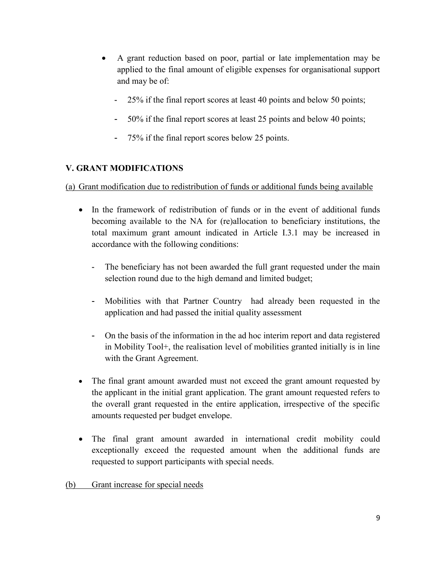- A grant reduction based on poor, partial or late implementation may be applied to the final amount of eligible expenses for organisational support and may be of:
	- 25% if the final report scores at least 40 points and below 50 points;
	- 50% if the final report scores at least 25 points and below 40 points;
	- 75% if the final report scores below 25 points.

# **V. GRANT MODIFICATIONS**

(a) Grant modification due to redistribution of funds or additional funds being available

- In the framework of redistribution of funds or in the event of additional funds becoming available to the NA for (re)allocation to beneficiary institutions, the total maximum grant amount indicated in Article I.3.1 may be increased in accordance with the following conditions:
	- The beneficiary has not been awarded the full grant requested under the main selection round due to the high demand and limited budget;
	- Mobilities with that Partner Country had already been requested in the application and had passed the initial quality assessment
	- On the basis of the information in the ad hoc interim report and data registered in Mobility Tool+, the realisation level of mobilities granted initially is in line with the Grant Agreement.
- The final grant amount awarded must not exceed the grant amount requested by the applicant in the initial grant application. The grant amount requested refers to the overall grant requested in the entire application, irrespective of the specific amounts requested per budget envelope.
- The final grant amount awarded in international credit mobility could exceptionally exceed the requested amount when the additional funds are requested to support participants with special needs.

(b) Grant increase for special needs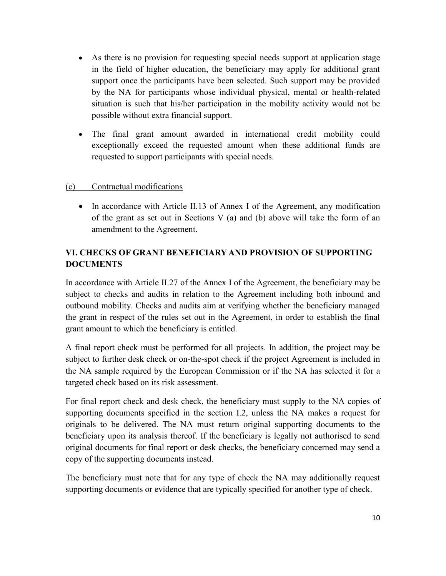- As there is no provision for requesting special needs support at application stage in the field of higher education, the beneficiary may apply for additional grant support once the participants have been selected. Such support may be provided by the NA for participants whose individual physical, mental or health-related situation is such that his/her participation in the mobility activity would not be possible without extra financial support.
- The final grant amount awarded in international credit mobility could exceptionally exceed the requested amount when these additional funds are requested to support participants with special needs.

### (c) Contractual modifications

• In accordance with Article II.13 of Annex I of the Agreement, any modification of the grant as set out in Sections V (a) and (b) above will take the form of an amendment to the Agreement.

# **VI. CHECKS OF GRANT BENEFICIARY AND PROVISION OF SUPPORTING DOCUMENTS**

In accordance with Article II.27 of the Annex I of the Agreement, the beneficiary may be subject to checks and audits in relation to the Agreement including both inbound and outbound mobility. Checks and audits aim at verifying whether the beneficiary managed the grant in respect of the rules set out in the Agreement, in order to establish the final grant amount to which the beneficiary is entitled.

A final report check must be performed for all projects. In addition, the project may be subject to further desk check or on-the-spot check if the project Agreement is included in the NA sample required by the European Commission or if the NA has selected it for a targeted check based on its risk assessment.

For final report check and desk check, the beneficiary must supply to the NA copies of supporting documents specified in the section I.2, unless the NA makes a request for originals to be delivered. The NA must return original supporting documents to the beneficiary upon its analysis thereof. If the beneficiary is legally not authorised to send original documents for final report or desk checks, the beneficiary concerned may send a copy of the supporting documents instead.

The beneficiary must note that for any type of check the NA may additionally request supporting documents or evidence that are typically specified for another type of check.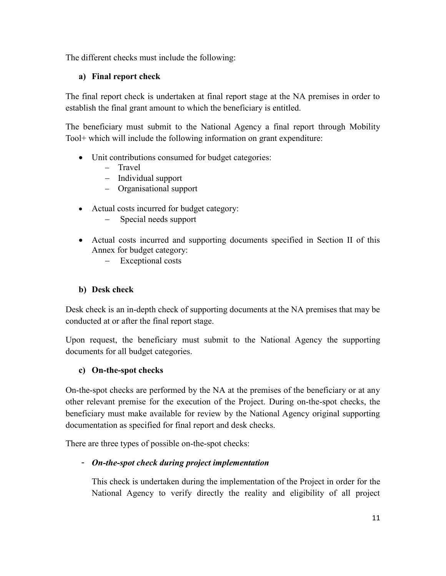The different checks must include the following:

## **a) Final report check**

The final report check is undertaken at final report stage at the NA premises in order to establish the final grant amount to which the beneficiary is entitled.

The beneficiary must submit to the National Agency a final report through Mobility Tool+ which will include the following information on grant expenditure:

- Unit contributions consumed for budget categories:
	- Travel
	- Individual support
	- Organisational support
- Actual costs incurred for budget category:
	- Special needs support
- Actual costs incurred and supporting documents specified in Section II of this Annex for budget category:
	- Exceptional costs

## **b) Desk check**

Desk check is an in-depth check of supporting documents at the NA premises that may be conducted at or after the final report stage.

Upon request, the beneficiary must submit to the National Agency the supporting documents for all budget categories.

## **c) On-the-spot checks**

On-the-spot checks are performed by the NA at the premises of the beneficiary or at any other relevant premise for the execution of the Project. During on-the-spot checks, the beneficiary must make available for review by the National Agency original supporting documentation as specified for final report and desk checks.

There are three types of possible on-the-spot checks:

## - *On-the-spot check during project implementation*

This check is undertaken during the implementation of the Project in order for the National Agency to verify directly the reality and eligibility of all project